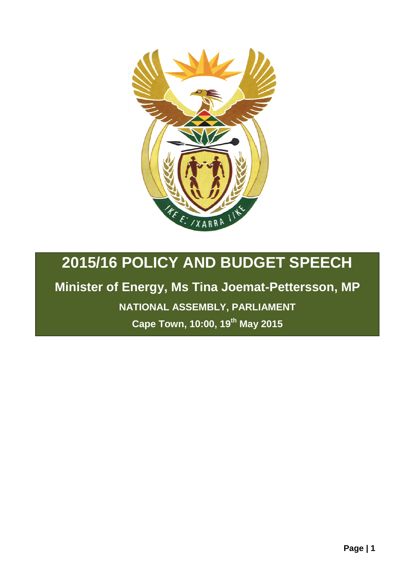

## **2015/16 POLICY AND BUDGET SPEECH**

## **Minister of Energy, Ms Tina Joemat-Pettersson, MP**

**NATIONAL ASSEMBLY, PARLIAMENT**

**Cape Town, 10:00, 19th May 2015**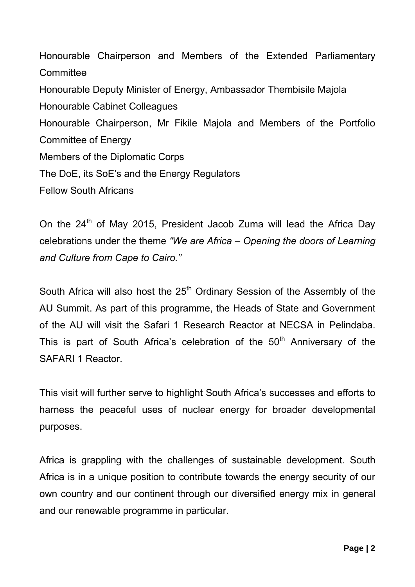Honourable Chairperson and Members of the Extended Parliamentary **Committee** Honourable Deputy Minister of Energy, Ambassador Thembisile Majola Honourable Cabinet Colleagues Honourable Chairperson, Mr Fikile Majola and Members of the Portfolio Committee of Energy Members of the Diplomatic Corps The DoE, its SoE's and the Energy Regulators Fellow South Africans

On the 24<sup>th</sup> of May 2015, President Jacob Zuma will lead the Africa Day celebrations under the theme *"We are Africa – Opening the doors of Learning and Culture from Cape to Cairo."*

South Africa will also host the  $25<sup>th</sup>$  Ordinary Session of the Assembly of the AU Summit. As part of this programme, the Heads of State and Government of the AU will visit the Safari 1 Research Reactor at NECSA in Pelindaba. This is part of South Africa's celebration of the  $50<sup>th</sup>$  Anniversary of the SAFARI 1 Reactor.

This visit will further serve to highlight South Africa's successes and efforts to harness the peaceful uses of nuclear energy for broader developmental purposes.

Africa is grappling with the challenges of sustainable development. South Africa is in a unique position to contribute towards the energy security of our own country and our continent through our diversified energy mix in general and our renewable programme in particular.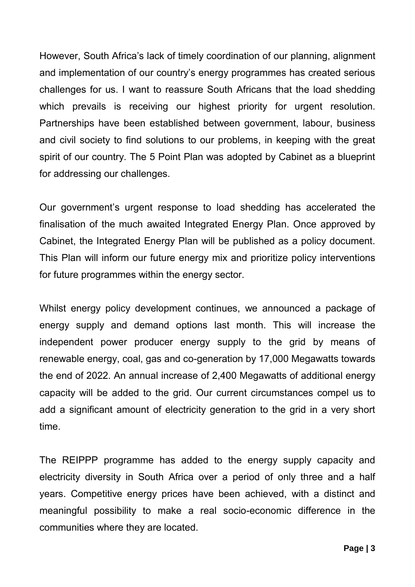However, South Africa's lack of timely coordination of our planning, alignment and implementation of our country's energy programmes has created serious challenges for us. I want to reassure South Africans that the load shedding which prevails is receiving our highest priority for urgent resolution. Partnerships have been established between government, labour, business and civil society to find solutions to our problems, in keeping with the great spirit of our country. The 5 Point Plan was adopted by Cabinet as a blueprint for addressing our challenges.

Our government's urgent response to load shedding has accelerated the finalisation of the much awaited Integrated Energy Plan. Once approved by Cabinet, the Integrated Energy Plan will be published as a policy document. This Plan will inform our future energy mix and prioritize policy interventions for future programmes within the energy sector.

Whilst energy policy development continues, we announced a package of energy supply and demand options last month. This will increase the independent power producer energy supply to the grid by means of renewable energy, coal, gas and co-generation by 17,000 Megawatts towards the end of 2022. An annual increase of 2,400 Megawatts of additional energy capacity will be added to the grid. Our current circumstances compel us to add a significant amount of electricity generation to the grid in a very short time.

The REIPPP programme has added to the energy supply capacity and electricity diversity in South Africa over a period of only three and a half years. Competitive energy prices have been achieved, with a distinct and meaningful possibility to make a real socio-economic difference in the communities where they are located.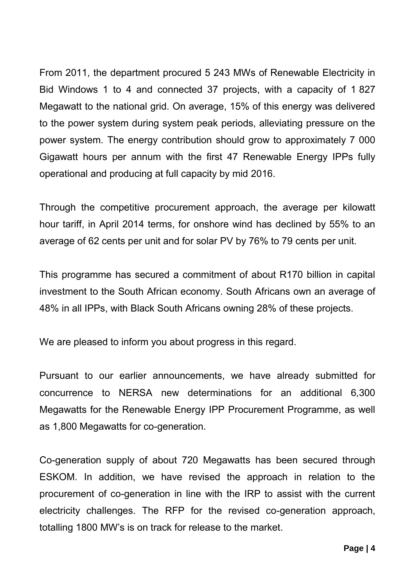From 2011, the department procured 5 243 MWs of Renewable Electricity in Bid Windows 1 to 4 and connected 37 projects, with a capacity of 1 827 Megawatt to the national grid. On average, 15% of this energy was delivered to the power system during system peak periods, alleviating pressure on the power system. The energy contribution should grow to approximately 7 000 Gigawatt hours per annum with the first 47 Renewable Energy IPPs fully operational and producing at full capacity by mid 2016.

Through the competitive procurement approach, the average per kilowatt hour tariff, in April 2014 terms, for onshore wind has declined by 55% to an average of 62 cents per unit and for solar PV by 76% to 79 cents per unit.

This programme has secured a commitment of about R170 billion in capital investment to the South African economy. South Africans own an average of 48% in all IPPs, with Black South Africans owning 28% of these projects.

We are pleased to inform you about progress in this regard.

Pursuant to our earlier announcements, we have already submitted for concurrence to NERSA new determinations for an additional 6,300 Megawatts for the Renewable Energy IPP Procurement Programme, as well as 1,800 Megawatts for co-generation.

Co-generation supply of about 720 Megawatts has been secured through ESKOM. In addition, we have revised the approach in relation to the procurement of co-generation in line with the IRP to assist with the current electricity challenges. The RFP for the revised co-generation approach, totalling 1800 MW's is on track for release to the market.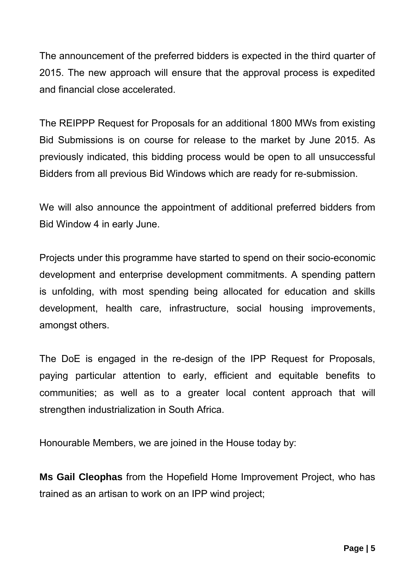The announcement of the preferred bidders is expected in the third quarter of 2015. The new approach will ensure that the approval process is expedited and financial close accelerated.

The REIPPP Request for Proposals for an additional 1800 MWs from existing Bid Submissions is on course for release to the market by June 2015. As previously indicated, this bidding process would be open to all unsuccessful Bidders from all previous Bid Windows which are ready for re-submission.

We will also announce the appointment of additional preferred bidders from Bid Window 4 in early June.

Projects under this programme have started to spend on their socio-economic development and enterprise development commitments. A spending pattern is unfolding, with most spending being allocated for education and skills development, health care, infrastructure, social housing improvements, amongst others.

The DoE is engaged in the re-design of the IPP Request for Proposals, paying particular attention to early, efficient and equitable benefits to communities; as well as to a greater local content approach that will strengthen industrialization in South Africa.

Honourable Members, we are joined in the House today by:

**Ms Gail Cleophas** from the Hopefield Home Improvement Project, who has trained as an artisan to work on an IPP wind project;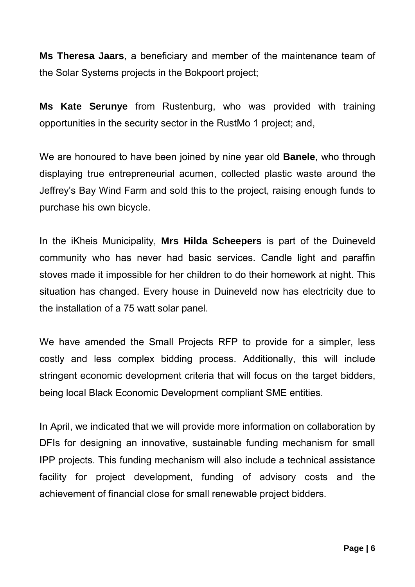**Ms Theresa Jaars**, a beneficiary and member of the maintenance team of the Solar Systems projects in the Bokpoort project;

**Ms Kate Serunye** from Rustenburg, who was provided with training opportunities in the security sector in the RustMo 1 project; and,

We are honoured to have been joined by nine year old **Banele**, who through displaying true entrepreneurial acumen, collected plastic waste around the Jeffrey's Bay Wind Farm and sold this to the project, raising enough funds to purchase his own bicycle.

In the iKheis Municipality, **Mrs Hilda Scheepers** is part of the Duineveld community who has never had basic services. Candle light and paraffin stoves made it impossible for her children to do their homework at night. This situation has changed. Every house in Duineveld now has electricity due to the installation of a 75 watt solar panel.

We have amended the Small Projects RFP to provide for a simpler, less costly and less complex bidding process. Additionally, this will include stringent economic development criteria that will focus on the target bidders, being local Black Economic Development compliant SME entities.

In April, we indicated that we will provide more information on collaboration by DFIs for designing an innovative, sustainable funding mechanism for small IPP projects. This funding mechanism will also include a technical assistance facility for project development, funding of advisory costs and the achievement of financial close for small renewable project bidders.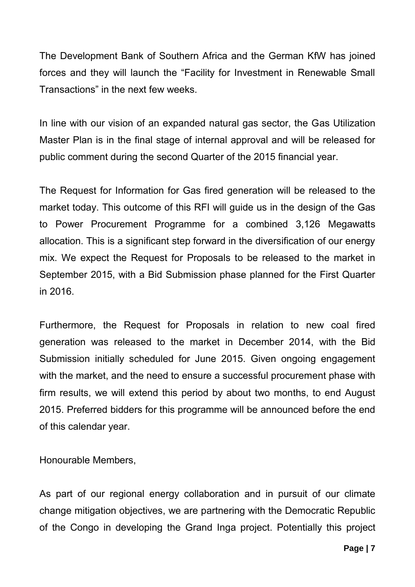The Development Bank of Southern Africa and the German KfW has joined forces and they will launch the "Facility for Investment in Renewable Small Transactions" in the next few weeks.

In line with our vision of an expanded natural gas sector, the Gas Utilization Master Plan is in the final stage of internal approval and will be released for public comment during the second Quarter of the 2015 financial year.

The Request for Information for Gas fired generation will be released to the market today. This outcome of this RFI will guide us in the design of the Gas to Power Procurement Programme for a combined 3,126 Megawatts allocation. This is a significant step forward in the diversification of our energy mix. We expect the Request for Proposals to be released to the market in September 2015, with a Bid Submission phase planned for the First Quarter in 2016.

Furthermore, the Request for Proposals in relation to new coal fired generation was released to the market in December 2014, with the Bid Submission initially scheduled for June 2015. Given ongoing engagement with the market, and the need to ensure a successful procurement phase with firm results, we will extend this period by about two months, to end August 2015. Preferred bidders for this programme will be announced before the end of this calendar year.

Honourable Members,

As part of our regional energy collaboration and in pursuit of our climate change mitigation objectives, we are partnering with the Democratic Republic of the Congo in developing the Grand Inga project. Potentially this project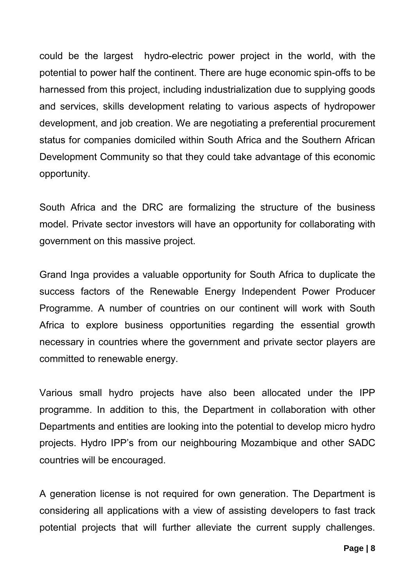could be the largest hydro-electric power project in the world, with the potential to power half the continent. There are huge economic spin-offs to be harnessed from this project, including industrialization due to supplying goods and services, skills development relating to various aspects of hydropower development, and job creation. We are negotiating a preferential procurement status for companies domiciled within South Africa and the Southern African Development Community so that they could take advantage of this economic opportunity.

South Africa and the DRC are formalizing the structure of the business model. Private sector investors will have an opportunity for collaborating with government on this massive project.

Grand Inga provides a valuable opportunity for South Africa to duplicate the success factors of the Renewable Energy Independent Power Producer Programme. A number of countries on our continent will work with South Africa to explore business opportunities regarding the essential growth necessary in countries where the government and private sector players are committed to renewable energy.

Various small hydro projects have also been allocated under the IPP programme. In addition to this, the Department in collaboration with other Departments and entities are looking into the potential to develop micro hydro projects. Hydro IPP's from our neighbouring Mozambique and other SADC countries will be encouraged.

A generation license is not required for own generation. The Department is considering all applications with a view of assisting developers to fast track potential projects that will further alleviate the current supply challenges.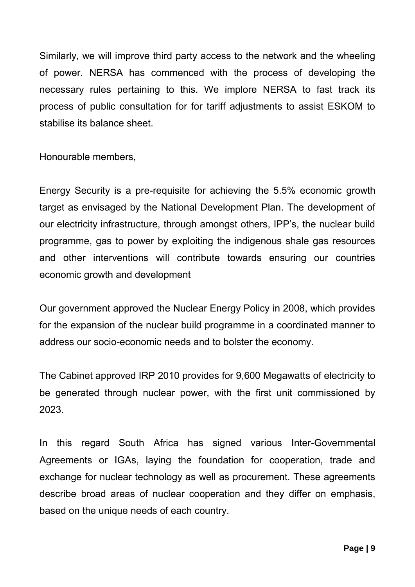Similarly, we will improve third party access to the network and the wheeling of power. NERSA has commenced with the process of developing the necessary rules pertaining to this. We implore NERSA to fast track its process of public consultation for for tariff adjustments to assist ESKOM to stabilise its balance sheet.

Honourable members,

Energy Security is a pre-requisite for achieving the 5.5% economic growth target as envisaged by the National Development Plan. The development of our electricity infrastructure, through amongst others, IPP's, the nuclear build programme, gas to power by exploiting the indigenous shale gas resources and other interventions will contribute towards ensuring our countries economic growth and development

Our government approved the Nuclear Energy Policy in 2008, which provides for the expansion of the nuclear build programme in a coordinated manner to address our socio-economic needs and to bolster the economy.

The Cabinet approved IRP 2010 provides for 9,600 Megawatts of electricity to be generated through nuclear power, with the first unit commissioned by 2023.

In this regard South Africa has signed various Inter-Governmental Agreements or IGAs, laying the foundation for cooperation, trade and exchange for nuclear technology as well as procurement. These agreements describe broad areas of nuclear cooperation and they differ on emphasis, based on the unique needs of each country.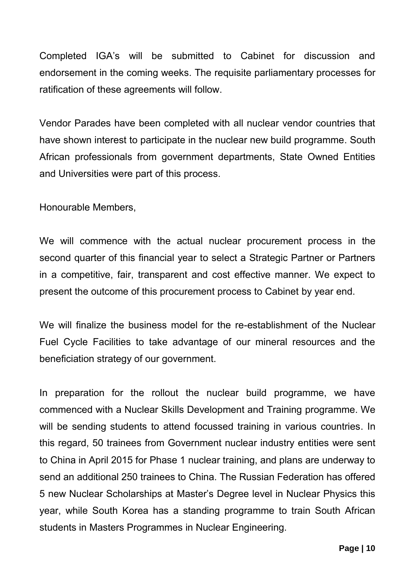Completed IGA's will be submitted to Cabinet for discussion and endorsement in the coming weeks. The requisite parliamentary processes for ratification of these agreements will follow.

Vendor Parades have been completed with all nuclear vendor countries that have shown interest to participate in the nuclear new build programme. South African professionals from government departments, State Owned Entities and Universities were part of this process.

Honourable Members,

We will commence with the actual nuclear procurement process in the second quarter of this financial year to select a Strategic Partner or Partners in a competitive, fair, transparent and cost effective manner. We expect to present the outcome of this procurement process to Cabinet by year end.

We will finalize the business model for the re-establishment of the Nuclear Fuel Cycle Facilities to take advantage of our mineral resources and the beneficiation strategy of our government.

In preparation for the rollout the nuclear build programme, we have commenced with a Nuclear Skills Development and Training programme. We will be sending students to attend focussed training in various countries. In this regard, 50 trainees from Government nuclear industry entities were sent to China in April 2015 for Phase 1 nuclear training, and plans are underway to send an additional 250 trainees to China. The Russian Federation has offered 5 new Nuclear Scholarships at Master's Degree level in Nuclear Physics this year, while South Korea has a standing programme to train South African students in Masters Programmes in Nuclear Engineering.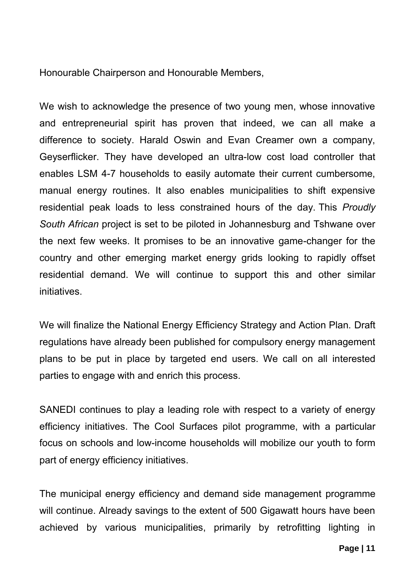Honourable Chairperson and Honourable Members,

We wish to acknowledge the presence of two young men, whose innovative and entrepreneurial spirit has proven that indeed, we can all make a difference to society. Harald Oswin and Evan Creamer own a company, Geyserflicker. They have developed an ultra-low cost load controller that enables LSM 4-7 households to easily automate their current cumbersome, manual energy routines. It also enables municipalities to shift expensive residential peak loads to less constrained hours of the day. This *Proudly South African* project is set to be piloted in Johannesburg and Tshwane over the next few weeks. It promises to be an innovative game-changer for the country and other emerging market energy grids looking to rapidly offset residential demand. We will continue to support this and other similar initiatives.

We will finalize the National Energy Efficiency Strategy and Action Plan. Draft regulations have already been published for compulsory energy management plans to be put in place by targeted end users. We call on all interested parties to engage with and enrich this process.

SANEDI continues to play a leading role with respect to a variety of energy efficiency initiatives. The Cool Surfaces pilot programme, with a particular focus on schools and low-income households will mobilize our youth to form part of energy efficiency initiatives.

The municipal energy efficiency and demand side management programme will continue. Already savings to the extent of 500 Gigawatt hours have been achieved by various municipalities, primarily by retrofitting lighting in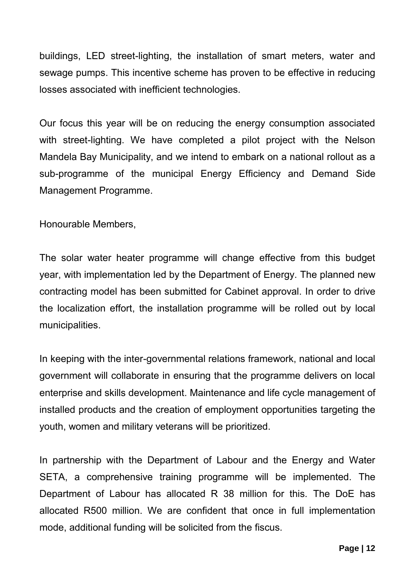buildings, LED street-lighting, the installation of smart meters, water and sewage pumps. This incentive scheme has proven to be effective in reducing losses associated with inefficient technologies.

Our focus this year will be on reducing the energy consumption associated with street-lighting. We have completed a pilot project with the Nelson Mandela Bay Municipality, and we intend to embark on a national rollout as a sub-programme of the municipal Energy Efficiency and Demand Side Management Programme.

Honourable Members,

The solar water heater programme will change effective from this budget year, with implementation led by the Department of Energy. The planned new contracting model has been submitted for Cabinet approval. In order to drive the localization effort, the installation programme will be rolled out by local municipalities.

In keeping with the inter-governmental relations framework, national and local government will collaborate in ensuring that the programme delivers on local enterprise and skills development. Maintenance and life cycle management of installed products and the creation of employment opportunities targeting the youth, women and military veterans will be prioritized.

In partnership with the Department of Labour and the Energy and Water SETA, a comprehensive training programme will be implemented. The Department of Labour has allocated R 38 million for this. The DoE has allocated R500 million. We are confident that once in full implementation mode, additional funding will be solicited from the fiscus.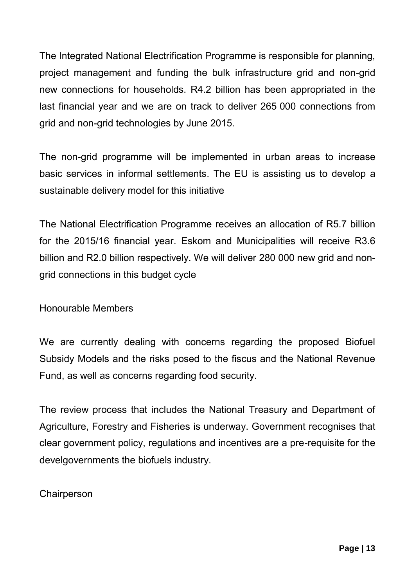The Integrated National Electrification Programme is responsible for planning, project management and funding the bulk infrastructure grid and non-grid new connections for households. R4.2 billion has been appropriated in the last financial year and we are on track to deliver 265 000 connections from grid and non-grid technologies by June 2015.

The non-grid programme will be implemented in urban areas to increase basic services in informal settlements. The EU is assisting us to develop a sustainable delivery model for this initiative

The National Electrification Programme receives an allocation of R5.7 billion for the 2015/16 financial year. Eskom and Municipalities will receive R3.6 billion and R2.0 billion respectively. We will deliver 280 000 new grid and nongrid connections in this budget cycle

Honourable Members

We are currently dealing with concerns regarding the proposed Biofuel Subsidy Models and the risks posed to the fiscus and the National Revenue Fund, as well as concerns regarding food security.

The review process that includes the National Treasury and Department of Agriculture, Forestry and Fisheries is underway. Government recognises that clear government policy, regulations and incentives are a pre-requisite for the develgovernments the biofuels industry.

**Chairperson**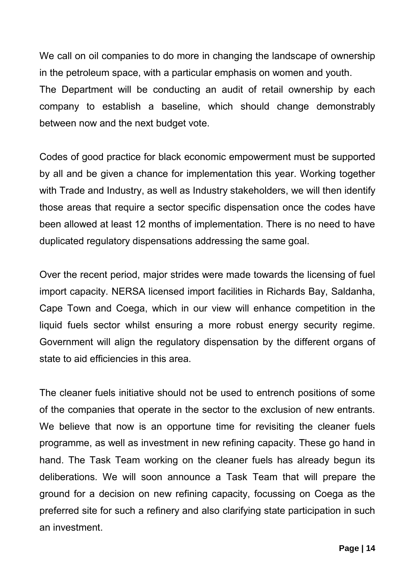We call on oil companies to do more in changing the landscape of ownership in the petroleum space, with a particular emphasis on women and youth. The Department will be conducting an audit of retail ownership by each company to establish a baseline, which should change demonstrably between now and the next budget vote.

Codes of good practice for black economic empowerment must be supported by all and be given a chance for implementation this year. Working together with Trade and Industry, as well as Industry stakeholders, we will then identify those areas that require a sector specific dispensation once the codes have been allowed at least 12 months of implementation. There is no need to have duplicated regulatory dispensations addressing the same goal.

Over the recent period, major strides were made towards the licensing of fuel import capacity. NERSA licensed import facilities in Richards Bay, Saldanha, Cape Town and Coega, which in our view will enhance competition in the liquid fuels sector whilst ensuring a more robust energy security regime. Government will align the regulatory dispensation by the different organs of state to aid efficiencies in this area.

The cleaner fuels initiative should not be used to entrench positions of some of the companies that operate in the sector to the exclusion of new entrants. We believe that now is an opportune time for revisiting the cleaner fuels programme, as well as investment in new refining capacity. These go hand in hand. The Task Team working on the cleaner fuels has already begun its deliberations. We will soon announce a Task Team that will prepare the ground for a decision on new refining capacity, focussing on Coega as the preferred site for such a refinery and also clarifying state participation in such an investment.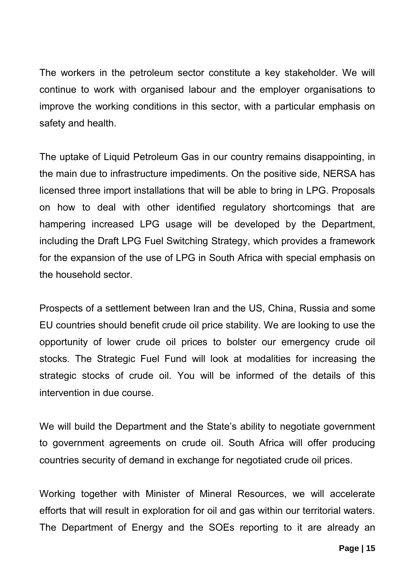The workers in the petroleum sector constitute a key stakeholder. We will continue to work with organised labour and the employer organisations to improve the working conditions in this sector, with a particular emphasis on safety and health.

The uptake of Liquid Petroleum Gas in our country remains disappointing, in the main due to infrastructure impediments. On the positive side, NERSA has licensed three import installations that will be able to bring in LPG. Proposals on how to deal with other identified regulatory shortcomings that are hampering increased LPG usage will be developed by the Department, including the Draft LPG Fuel Switching Strategy, which provides a framework for the expansion of the use of LPG in South Africa with special emphasis on the household sector.

Prospects of a settlement between Iran and the US, China, Russia and some EU countries should benefit crude oil price stability. We are looking to use the opportunity of lower crude oil prices to bolster our emergency crude oil stocks. The Strategic Fuel Fund will look at modalities for increasing the strategic stocks of crude oil. You will be informed of the details of this intervention in due course.

We will build the Department and the State's ability to negotiate government to government agreements on crude oil. South Africa will offer producing countries security of demand in exchange for negotiated crude oil prices.

Working together with Minister of Mineral Resources, we will accelerate efforts that will result in exploration for oil and gas within our territorial waters. The Department of Energy and the SOEs reporting to it are already an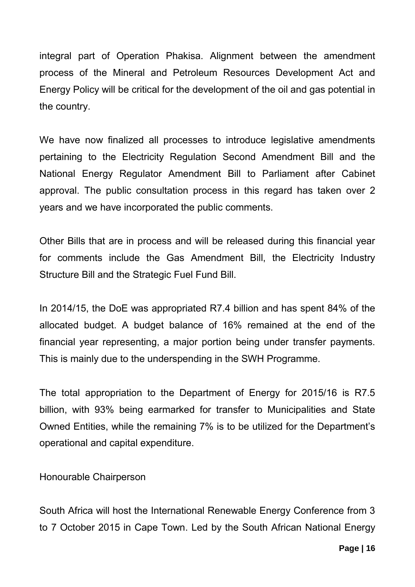integral part of Operation Phakisa. Alignment between the amendment process of the Mineral and Petroleum Resources Development Act and Energy Policy will be critical for the development of the oil and gas potential in the country.

We have now finalized all processes to introduce legislative amendments pertaining to the Electricity Regulation Second Amendment Bill and the National Energy Regulator Amendment Bill to Parliament after Cabinet approval. The public consultation process in this regard has taken over 2 years and we have incorporated the public comments.

Other Bills that are in process and will be released during this financial year for comments include the Gas Amendment Bill, the Electricity Industry Structure Bill and the Strategic Fuel Fund Bill.

In 2014/15, the DoE was appropriated R7.4 billion and has spent 84% of the allocated budget. A budget balance of 16% remained at the end of the financial year representing, a major portion being under transfer payments. This is mainly due to the underspending in the SWH Programme.

The total appropriation to the Department of Energy for 2015/16 is R7.5 billion, with 93% being earmarked for transfer to Municipalities and State Owned Entities, while the remaining 7% is to be utilized for the Department's operational and capital expenditure.

Honourable Chairperson

South Africa will host the International Renewable Energy Conference from 3 to 7 October 2015 in Cape Town. Led by the South African National Energy